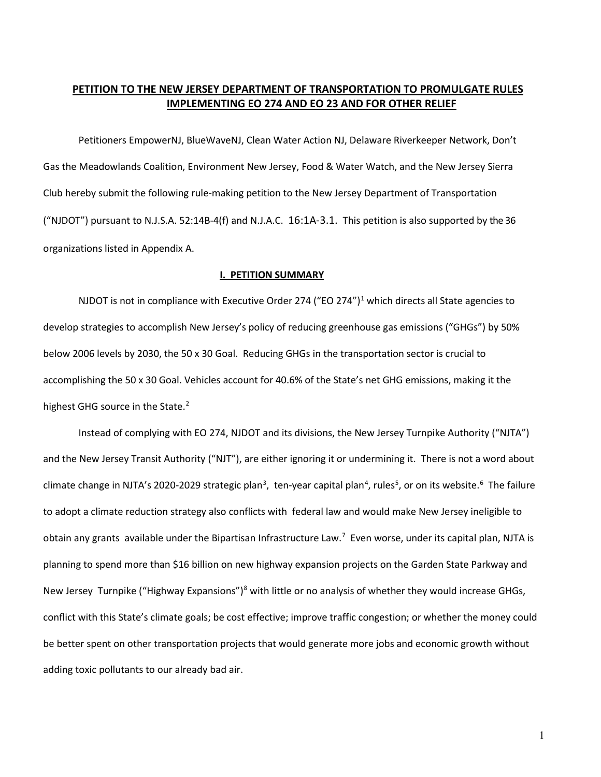## **PETITION TO THE NEW JERSEY DEPARTMENT OF TRANSPORTATION TO PROMULGATE RULES IMPLEMENTING EO 274 AND EO 23 AND FOR OTHER RELIEF**

Petitioners EmpowerNJ, BlueWaveNJ, Clean Water Action NJ, Delaware Riverkeeper Network, Don't Gas the Meadowlands Coalition, Environment New Jersey, Food & Water Watch, and the New Jersey Sierra Club hereby submit the following rule-making petition to the New Jersey Department of Transportation ("NJDOT") pursuant to N.J.S.A. 52:14B-4(f) and N.J.A.C. 16:1A-3.1. This petition is also supported by the 36 organizations listed in Appendix A.

#### **I. PETITION SUMMARY**

NJDOT is not in compliance with Executive Order 274 ("EO 274")<sup>[1](#page-18-0)</sup> which directs all State agencies to develop strategies to accomplish New Jersey's policy of reducing greenhouse gas emissions ("GHGs") by 50% below 2006 levels by 2030, the 50 x 30 Goal. Reducing GHGs in the transportation sector is crucial to accomplishing the 50 x 30 Goal. Vehicles account for 40.6% of the State's net GHG emissions, making it the highest GHG source in the State.<sup>[2](#page-19-0)</sup>

Instead of complying with EO 274, NJDOT and its divisions, the New Jersey Turnpike Authority ("NJTA") and the New Jersey Transit Authority ("NJT"), are either ignoring it or undermining it. There is not a word about climate change in NJTA's 2020-2029 strategic plan<sup>[3](#page-19-1)</sup>, ten-year capital plan<sup>[4](#page-19-2)</sup>, rules<sup>[5](#page-19-3)</sup>, or on its website.<sup>[6](#page-19-4)</sup> The failure to adopt a climate reduction strategy also conflicts with federal law and would make New Jersey ineligible to obtain any grants available under the Bipartisan Infrastructure Law.<sup>[7](#page-19-5)</sup> Even worse, under its capital plan, NJTA is planning to spend more than \$16 billion on new highway expansion projects on the Garden State Parkway and New Jersey Turnpike ("Highway Expansions")<sup>[8](#page-19-6)</sup> with little or no analysis of whether they would increase GHGs, conflict with this State's climate goals; be cost effective; improve traffic congestion; or whether the money could be better spent on other transportation projects that would generate more jobs and economic growth without adding toxic pollutants to our already bad air.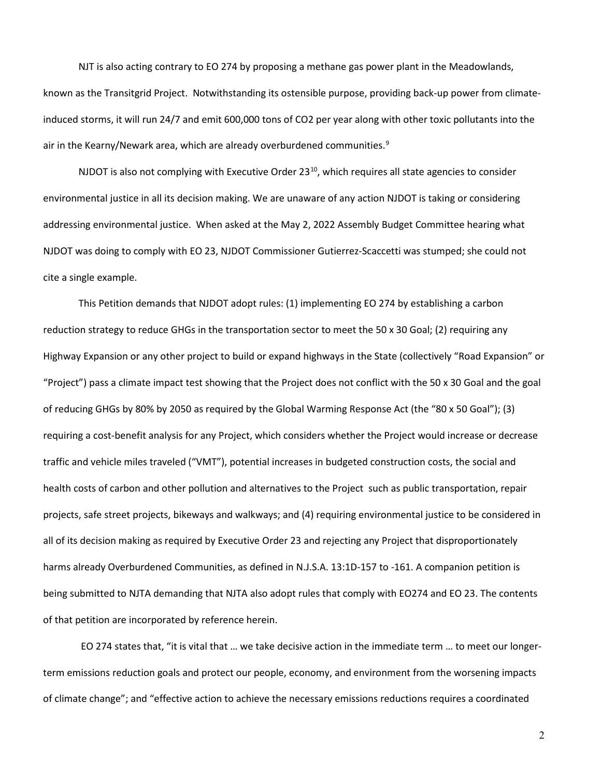NJT is also acting contrary to EO 274 by proposing a methane gas power plant in the Meadowlands, known as the Transitgrid Project. Notwithstanding its ostensible purpose, providing back-up power from climateinduced storms, it will run 24/7 and emit 600,000 tons of CO2 per year along with other toxic pollutants into the air in the Kearny/Newark area, which are already overburdened communities.<sup>[9](#page-19-7)</sup>

NJDOT is also not complying with Executive Order 23<sup>[10](#page-19-8)</sup>, which requires all state agencies to consider environmental justice in all its decision making. We are unaware of any action NJDOT is taking or considering addressing environmental justice. When asked at the May 2, 2022 Assembly Budget Committee hearing what NJDOT was doing to comply with EO 23, NJDOT Commissioner Gutierrez-Scaccetti was stumped; she could not cite a single example.

This Petition demands that NJDOT adopt rules: (1) implementing EO 274 by establishing a carbon reduction strategy to reduce GHGs in the transportation sector to meet the 50 x 30 Goal; (2) requiring any Highway Expansion or any other project to build or expand highways in the State (collectively "Road Expansion" or "Project") pass a climate impact test showing that the Project does not conflict with the 50 x 30 Goal and the goal of reducing GHGs by 80% by 2050 as required by the Global Warming Response Act (the "80 x 50 Goal"); (3) requiring a cost-benefit analysis for any Project, which considers whether the Project would increase or decrease traffic and vehicle miles traveled ("VMT"), potential increases in budgeted construction costs, the social and health costs of carbon and other pollution and alternatives to the Project such as public transportation, repair projects, safe street projects, bikeways and walkways; and (4) requiring environmental justice to be considered in all of its decision making as required by Executive Order 23 and rejecting any Project that disproportionately harms already Overburdened Communities, as defined in N.J.S.A. 13:1D-157 to -161. A companion petition is being submitted to NJTA demanding that NJTA also adopt rules that comply with EO274 and EO 23. The contents of that petition are incorporated by reference herein.

EO 274 states that, "it is vital that … we take decisive action in the immediate term … to meet our longerterm emissions reduction goals and protect our people, economy, and environment from the worsening impacts of climate change"; and "effective action to achieve the necessary emissions reductions requires a coordinated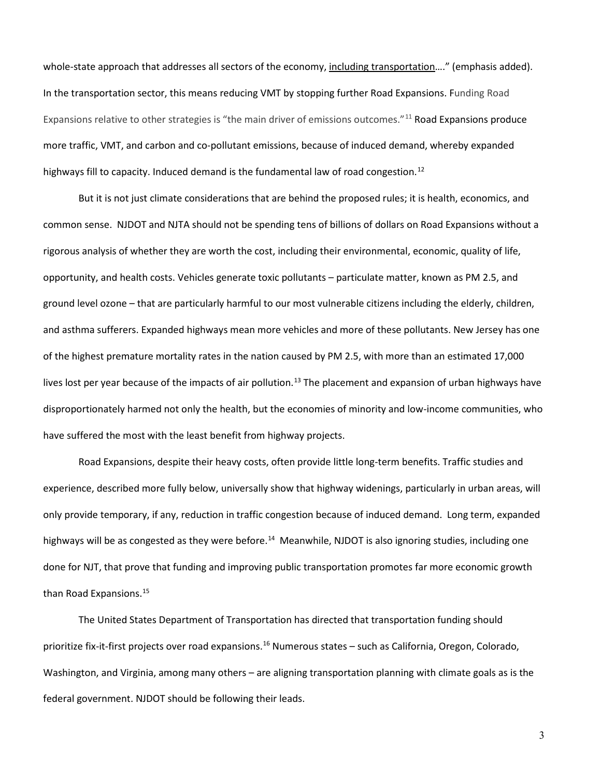whole-state approach that addresses all sectors of the economy, including transportation…." (emphasis added). In the transportation sector, this means reducing VMT by stopping further Road Expansions. Funding Road Expansions relative to other strategies is "the main driver of emissions outcomes."<sup>[11](#page-19-9)</sup> Road Expansions produce more traffic, VMT, and carbon and co-pollutant emissions, because of induced demand, whereby expanded highways fill to capacity. Induced demand is the fundamental law of road congestion.<sup>[12](#page-19-10)</sup>

But it is not just climate considerations that are behind the proposed rules; it is health, economics, and common sense. NJDOT and NJTA should not be spending tens of billions of dollars on Road Expansions without a rigorous analysis of whether they are worth the cost, including their environmental, economic, quality of life, opportunity, and health costs. Vehicles generate toxic pollutants – particulate matter, known as PM 2.5, and ground level ozone – that are particularly harmful to our most vulnerable citizens including the elderly, children, and asthma sufferers. Expanded highways mean more vehicles and more of these pollutants. New Jersey has one of the highest premature mortality rates in the nation caused by PM 2.5, with more than an estimated 17,000 lives lost per year because of the impacts of air pollution.<sup>[13](#page-19-11)</sup> The placement and expansion of urban highways have disproportionately harmed not only the health, but the economies of minority and low-income communities, who have suffered the most with the least benefit from highway projects.

Road Expansions, despite their heavy costs, often provide little long-term benefits. Traffic studies and experience, described more fully below, universally show that highway widenings, particularly in urban areas, will only provide temporary, if any, reduction in traffic congestion because of induced demand. Long term, expanded highways will be as congested as they were before.<sup>[14](#page-19-12)</sup> Meanwhile, NJDOT is also ignoring studies, including one done for NJT, that prove that funding and improving public transportation promotes far more economic growth than Road Expansions.<sup>[15](#page-19-13)</sup>

The United States Department of Transportation has directed that transportation funding should prioritize fix-it-first projects over road expansions.<sup>[16](#page-19-14)</sup> Numerous states - such as California, Oregon, Colorado, Washington, and Virginia, among many others – are aligning transportation planning with climate goals as is the federal government. NJDOT should be following their leads.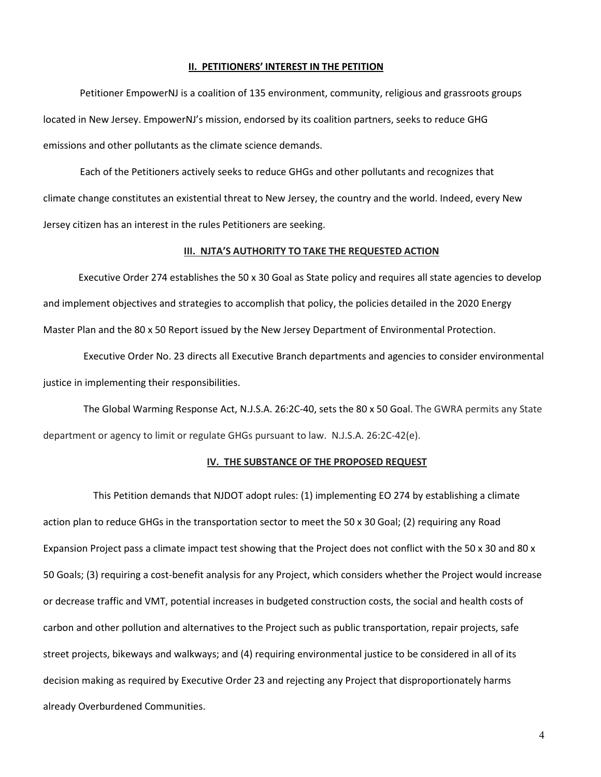#### **II. PETITIONERS' INTEREST IN THE PETITION**

 Petitioner EmpowerNJ is a coalition of 135 environment, community, religious and grassroots groups located in New Jersey. EmpowerNJ's mission, endorsed by its coalition partners, seeks to reduce GHG emissions and other pollutants as the climate science demands.

 Each of the Petitioners actively seeks to reduce GHGs and other pollutants and recognizes that climate change constitutes an existential threat to New Jersey, the country and the world. Indeed, every New Jersey citizen has an interest in the rules Petitioners are seeking.

#### **III. NJTA'S AUTHORITY TO TAKE THE REQUESTED ACTION**

[Executive Order 274](https://nj.gov/infobank/eo/056murphy/pdf/EO-274.pdf) establishes the 50 x 30 Goal as State policy and requires all state agencies to develop and implement objectives and strategies to accomplish that policy, the policies detailed in the 2020 Energy Master Plan and the 80 x 50 Report issued by the New Jersey Department of Environmental Protection.

 [Executive Order No. 23](https://nj.gov/infobank/eo/056murphy/pdf/EO-23.pdf) directs all Executive Branch departments and agencies to consider environmental justice in implementing their responsibilities.

 The Global Warming Response Act, N.J.S.A. 26:2C-40, sets the 80 x 50 Goal. The GWRA permits any State department or agency to limit or regulate GHGs pursuant to law. N.J.S.A. 26:2C-42(e).

#### **IV. THE SUBSTANCE OF THE PROPOSED REQUEST**

This Petition demands that NJDOT adopt rules: (1) implementing EO 274 by establishing a climate action plan to reduce GHGs in the transportation sector to meet the 50 x 30 Goal; (2) requiring any Road Expansion Project pass a climate impact test showing that the Project does not conflict with the 50 x 30 and 80 x 50 Goals; (3) requiring a cost-benefit analysis for any Project, which considers whether the Project would increase or decrease traffic and VMT, potential increases in budgeted construction costs, the social and health costs of carbon and other pollution and alternatives to the Project such as public transportation, repair projects, safe street projects, bikeways and walkways; and (4) requiring environmental justice to be considered in all of its decision making as required by Executive Order 23 and rejecting any Project that disproportionately harms already Overburdened Communities.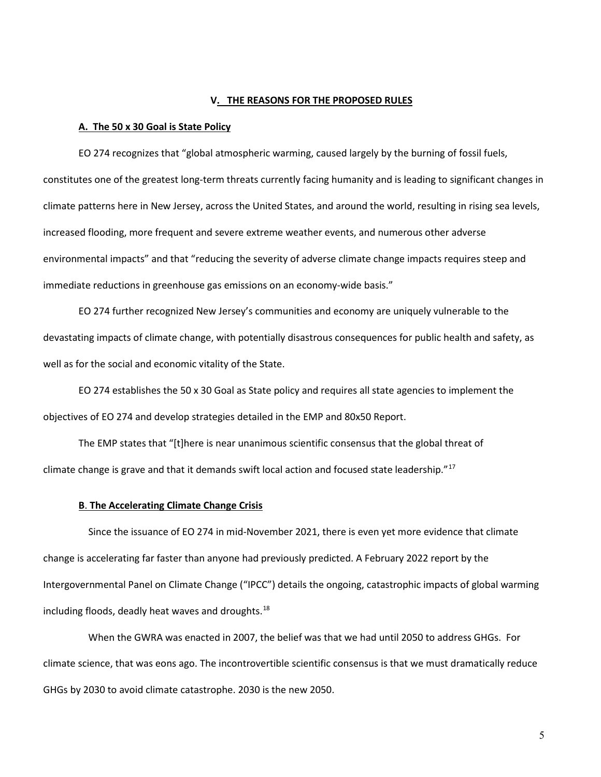#### **V. THE REASONS FOR THE PROPOSED RULES**

#### **A. The 50 x 30 Goal is State Policy**

EO 274 recognizes that "global atmospheric warming, caused largely by the burning of fossil fuels, constitutes one of the greatest long-term threats currently facing humanity and is leading to significant changes in climate patterns here in New Jersey, across the United States, and around the world, resulting in rising sea levels, increased flooding, more frequent and severe extreme weather events, and numerous other adverse environmental impacts" and that "reducing the severity of adverse climate change impacts requires steep and immediate reductions in greenhouse gas emissions on an economy-wide basis."

EO 274 further recognized New Jersey's communities and economy are uniquely vulnerable to the devastating impacts of climate change, with potentially disastrous consequences for public health and safety, as well as for the social and economic vitality of the State.

EO 274 establishes the 50 x 30 Goal as State policy and requires all state agencies to implement the objectives of EO 274 and develop strategies detailed in the EMP and 80x50 Report.

The EMP states that "[t]here is near unanimous scientific consensus that the global threat of climate change is grave and that it demands swift local action and focused state leadership."<sup>[17](#page-20-0)</sup>

#### **B**. **The Accelerating Climate Change Crisis**

 Since the issuance of EO 274 in mid-November 2021, there is even yet more evidence that climate change is accelerating far faster than anyone had previously predicted. A February 2022 report by the Intergovernmental Panel on Climate Change ("IPCC") details the ongoing, catastrophic impacts of global warming including floods, deadly heat waves and droughts.<sup>18</sup>

When the GWRA was enacted in 2007, the belief was that we had until 2050 to address GHGs. For climate science, that was eons ago. The incontrovertible scientific consensus is that we must dramatically reduce GHGs by 2030 to avoid climate catastrophe. 2030 is the new 2050.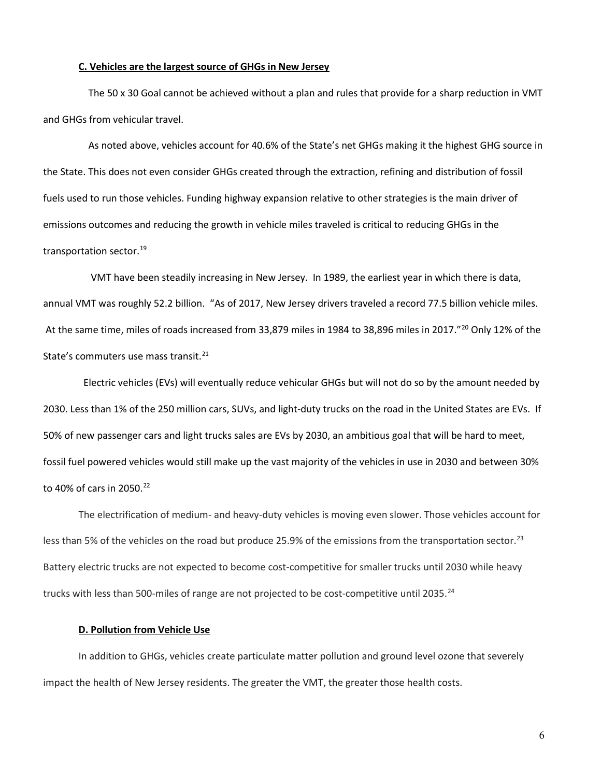#### **C. Vehicles are the largest source of GHGs in New Jersey**

 The 50 x 30 Goal cannot be achieved without a plan and rules that provide for a sharp reduction in VMT and GHGs from vehicular travel.

 As noted above, vehicles account for 40.6% of the State's net GHGs making it the highest GHG source in the State. This does not even consider GHGs created through the extraction, refining and distribution of fossil fuels used to run those vehicles. Funding highway expansion relative to other strategies is the main driver of emissions outcomes and reducing the growth in vehicle miles traveled is critical to reducing GHGs in the transportation sector.<sup>[19](#page-20-2)</sup>

 VMT have been steadily increasing in New Jersey. In 1989, the earliest year in which there is data, annual VMT was roughly 52.2 billion. "As of 2017, New Jersey drivers traveled a record 77.5 billion vehicle miles. At the same time, miles of roads increased from 33,879 miles in 1984 to 38,896 miles in 2017."[20](#page-20-3) Only 12% of the State's commuters use mass transit.<sup>[21](#page-20-4)</sup>

 Electric vehicles (EVs) will eventually reduce vehicular GHGs but will not do so by the amount needed by 2030. Less than 1% of the 250 million cars, SUVs, and light-duty trucks on the road in the United States are EVs. If 50% of new passenger cars and light trucks sales are EVs by 2030, an ambitious goal that will be hard to meet, fossil fuel powered vehicles would still make up the vast majority of the vehicles in use in 2030 and between 30% to 40% of cars in 2050.<sup>[22](#page-20-5)</sup>

The electrification of medium- and heavy-duty vehicles is moving even slower. Those vehicles account for less than 5% of the vehicles on the road but produce 25.9% of the emissions from the transportation sector.<sup>[23](#page-20-6)</sup> Battery electric trucks are not expected to become cost-competitive for smaller trucks until 2030 while heavy trucks with less than 500-miles of range are not projected to be cost-competitive until 2035.<sup>[24](#page-20-7)</sup>

#### **D. Pollution from Vehicle Use**

In addition to GHGs, vehicles create particulate matter pollution and ground level ozone that severely impact the health of New Jersey residents. The greater the VMT, the greater those health costs.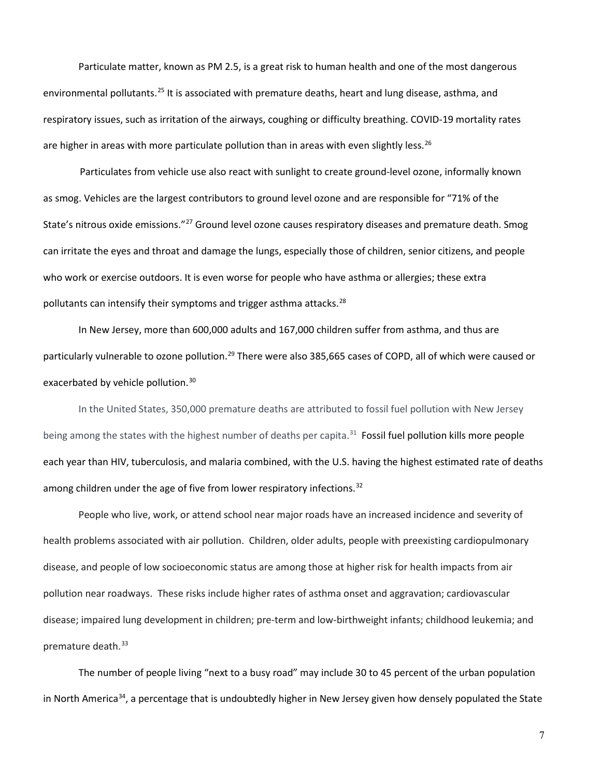Particulate matter, known as PM 2.5, is a great risk to human health and one of the most dangerous environmental pollutants.<sup>[25](#page-20-8)</sup> It is associated with premature deaths, heart and lung disease, asthma, and respiratory issues, such as irritation of the airways, coughing or difficulty breathing. COVID-19 mortality rates are higher in areas with more particulate pollution than in areas with even slightly less.<sup>[26](#page-20-9)</sup>

 Particulates from vehicle use also react with sunlight to create ground-level ozone, informally known as smog. Vehicles are the largest contributors to ground level ozone and are responsible for "71% of the State's nitrous oxide emissions."<sup>27</sup> Ground level ozone causes respiratory diseases and premature death. Smog can irritate the eyes and throat and damage the lungs, especially those of children, senior citizens, and people who work or exercise outdoors. It is even worse for people who have asthma or allergies; these extra pollutants can intensify their symptoms and trigger asthma attacks.<sup>[28](#page-20-11)</sup>

In New Jersey, more than 600,000 adults and 167,000 children suffer from asthma, and thus are particularly vulnerable to ozone pollution.<sup>[29](#page-20-12)</sup> There were also 385,665 cases of COPD, all of which were caused or exacerbated by vehicle pollution.<sup>[30](#page-20-13)</sup>

In the United States, 350,000 premature deaths are attributed to fossil fuel pollution with New Jersey being among the states with the highest number of deaths per capita.<sup>[31](#page-20-14)</sup> Fossil fuel pollution kills more people each year than HIV, tuberculosis, and malaria combined, with the U.S. having the highest estimated rate of deaths among children under the age of five from lower respiratory infections.<sup>[32](#page-20-15)</sup>

People who live, work, or attend school near major roads have an increased incidence and severity of health problems associated with air pollution. Children, older adults, people with preexisting cardiopulmonary disease, and people of low socioeconomic status are among those at higher risk for health impacts from air pollution near roadways. These risks include higher rates of asthma onset and aggravation; cardiovascular disease; impaired lung development in children; pre-term and low-birthweight infants; childhood leukemia; and premature death.<sup>[33](#page-20-16)</sup>

The number of people living "next to a busy road" may include 30 to 45 percent of the urban population in North America<sup>34</sup>, a percentage that is undoubtedly higher in New Jersey given how densely populated the State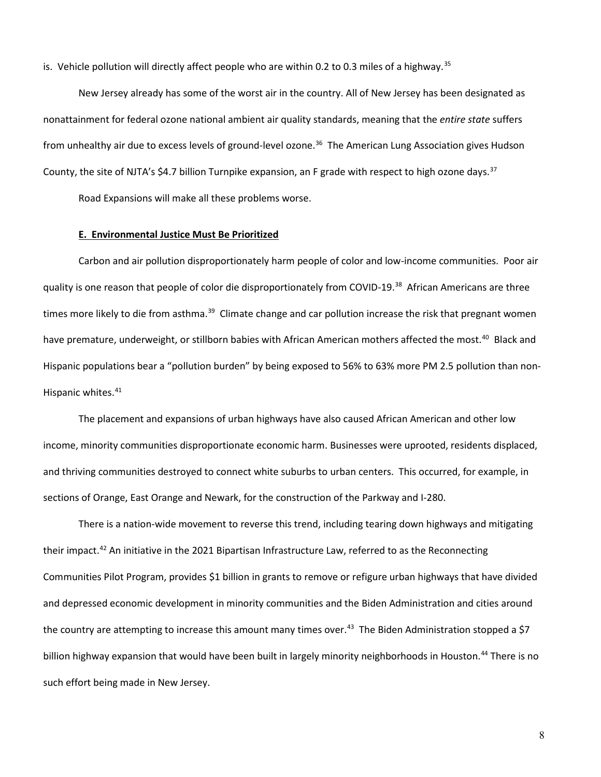is. Vehicle pollution will directly affect people who are within 0.2 to 0.3 miles of a highway.<sup>[35](#page-20-18)</sup>

New Jersey already has some of the worst air in the country. All of New Jersey has been designated as nonattainment for federal ozone national ambient air quality standards, meaning that the *entire state* suffers from unhealthy air due to excess levels of ground-level ozone.[36](#page-21-0)The American Lung Association gives Hudson County, the site of NJTA's \$4.7 billion Turnpike expansion, an F grade with respect to high ozone days.<sup>37</sup>

Road Expansions will make all these problems worse.

## **E. Environmental Justice Must Be Prioritized**

Carbon and air pollution disproportionately harm people of color and low-income communities. Poor air quality is one reason that people of color die disproportionately from COVID-19.[38](#page-21-2) African Americans are three times more likely to die from asthma.<sup>[39](#page-21-3)</sup> Climate change and car pollution increase the risk that pregnant women have premature, underweight, or stillborn babies with African American mothers affected the most.<sup>[40](#page-21-4)</sup> Black and Hispanic populations bear a "pollution burden" by being exposed to 56% to 63% more PM 2.5 pollution than non-Hispanic whites.<sup>[41](#page-21-5)</sup>

The placement and expansions of urban highways have also caused African American and other low income, minority communities disproportionate economic harm. [Businesses were uprooted, residents displaced,](http://www.nycroads.com/roads/I-280_NJ/)  and thriving communities destroyed to [connect white suburbs to urban centers. This occurred, for example, in](http://www.nycroads.com/roads/I-280_NJ/) [sections of Orange, East Orange and Newark,](https://www.nj.com/news/2016/07/route_280_project_looks_at_downside_of_highway_di.html) for the construction of the Parkway and I-280.

There is a nation-wide movement to reverse this trend, including tearing down highways and mitigating their impact.<sup>[42](#page-21-6)</sup> An initiative in the 2021 Bipartisan Infrastructure Law, referred to as the Reconnecting Communities Pilot Program, provides \$1 billion in grants to remove or refigure urban highways that have divided and depressed economic development in minority communities and the Biden Administration and cities around the country are attempting to increase this amount many times over.<sup>43</sup> The Biden Administration stopped a \$7 billion highway expansion that would have been built in largely minority neighborhoods in Houston.<sup>[44](#page-21-8)</sup> There is no such effort being made in New Jersey.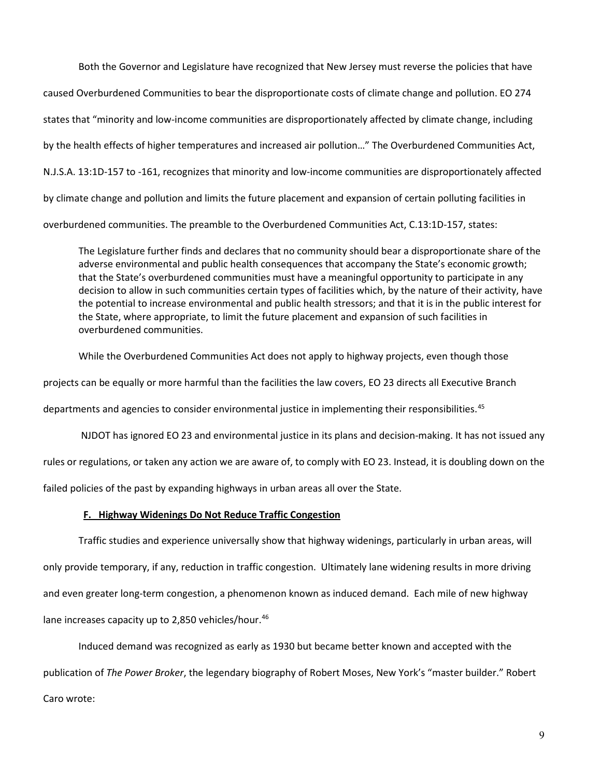Both the Governor and Legislature have recognized that New Jersey must reverse the policies that have caused Overburdened Communities to bear the disproportionate costs of climate change and pollution. EO 274 states that "minority and low-income communities are disproportionately affected by climate change, including by the health effects of higher temperatures and increased air pollution…" The Overburdened Communities Act, N.J.S.A. 13:1D-157 to -161, recognizes that minority and low-income communities are disproportionately affected by climate change and pollution and limits the future placement and expansion of certain polluting facilities in overburdened communities. The preamble to the Overburdened Communities Act, C.13:1D-157, states:

The Legislature further finds and declares that no community should bear a disproportionate share of the adverse environmental and public health consequences that accompany the State's economic growth; that the State's overburdened communities must have a meaningful opportunity to participate in any decision to allow in such communities certain types of facilities which, by the nature of their activity, have the potential to increase environmental and public health stressors; and that it is in the public interest for the State, where appropriate, to limit the future placement and expansion of such facilities in overburdened communities.

While the Overburdened Communities Act does not apply to highway projects, even though those

projects can be equally or more harmful than the facilities the law covers, EO 23 directs all Executive Branch

departments and agencies to consider environmental justice in implementing their responsibilities.<sup>[45](#page-21-9)</sup>

NJDOT has ignored EO 23 and environmental justice in its plans and decision-making. It has not issued any

rules or regulations, or taken any action we are aware of, to comply with EO 23. Instead, it is doubling down on the

failed policies of the past by expanding highways in urban areas all over the State.

#### **F. Highway Widenings Do Not Reduce Traffic Congestion**

Traffic studies and experience universally show that highway widenings, particularly in urban areas, will only provide temporary, if any, reduction in traffic congestion. Ultimately lane widening results in more driving and even greater long-term congestion, a phenomenon known as induced demand. Each mile of new highway lane increases capacity up to 2,850 vehicles/hour.<sup>[46](#page-21-10)</sup>

Induced demand was recognized as early as 1930 but became better known and accepted with the publication of *The Power Broker*, the legendary biography of Robert Moses, New York's "master builder." Robert Caro wrote: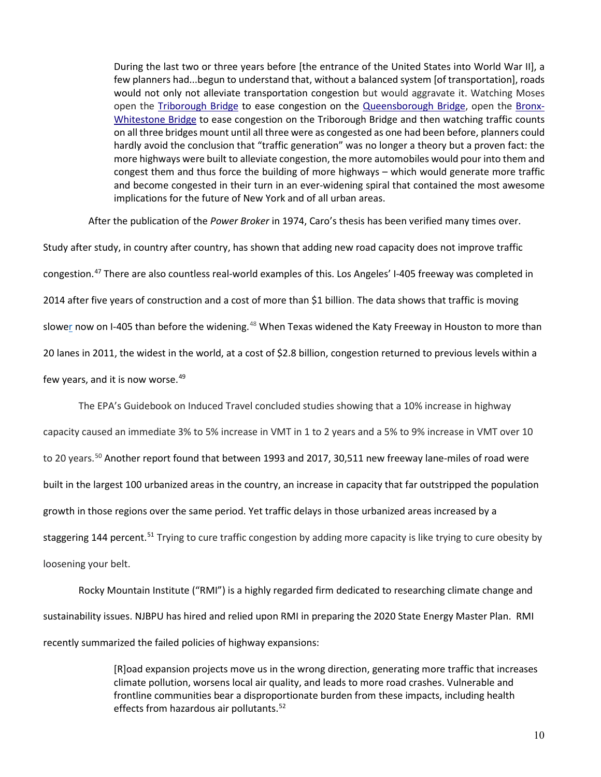During the last two or three years before [the entrance of the United States into World War II], a few planners had...begun to understand that, without a balanced system [of transportation], roads would not only not alleviate transportation congestion but would aggravate it. Watching Moses open the [Triborough Bridge](https://en.wikipedia.org/wiki/Triborough_Bridge) to ease congestion on the [Queensborough Bridge,](https://en.wikipedia.org/wiki/Queensboro_Bridge) open the [Bronx-](https://en.wikipedia.org/wiki/Bronx-Whitestone_Bridge)[Whitestone Bridge](https://en.wikipedia.org/wiki/Bronx-Whitestone_Bridge) to ease congestion on the Triborough Bridge and then watching traffic counts on all three bridges mount until all three were as congested as one had been before, planners could hardly avoid the conclusion that "traffic generation" was no longer a theory but a proven fact: the more highways were built to alleviate congestion, the more automobiles would pour into them and congest them and thus force the building of more highways – which would generate more traffic and become congested in their turn in an ever-widening spiral that contained the most awesome implications for the future of New York and of all urban areas.

After the publication of the *Power Broker* in 1974, Caro's thesis has been verified many times over.

Study after study, in country after country, has shown that adding new road capacity does not improve traffic congestion.<sup>[47](#page-21-11)</sup> There are also countless real-world examples of this. Los Angeles' I-405 freeway was completed in 2014 after five years of construction and a cost of [more than](http://media.metro.net/projects_studies/pm/images/pm_october_2013_i405_sepulveda_pass_improvements2.pdf) \$1 billion. The data shows that traffic is moving [slower](http://la.curbed.com/archives/2014/10/405_commutes_now_a_minute_worse_than_before_carpool_lane.php) now on I-405 than before the widening.<sup>[48](#page-21-12)</sup> When Texas widened the Katy Freeway in Houston to more than 20 lanes in 2011, the widest in the world, at a cost of \$2.8 billion, congestion returned to previous levels within a few years, and it is now worse.<sup>[49](#page-21-13)</sup>

The EPA's Guidebook on Induced Travel concluded studies showing that a 10% increase in highway

capacity caused an immediate 3% to 5% increase in VMT in 1 to 2 years and a 5% to 9% increase in VMT over 10 to 20 years.<sup>[50](#page-21-14)</sup> Another report found that between 1993 and 2017, 30,511 new freeway lane-miles of road were built in the largest 100 urbanized areas in the country, an increase in capacity that far outstripped the population growth in those regions over the same period. Yet traffic delays in those urbanized areas increased by a staggering 144 percent.<sup>[51](#page-21-15)</sup> Trying to cure traffic congestion by adding more capacity is like trying to cure obesity by loosening your belt.

Rocky Mountain Institute ("RMI") is a highly regarded firm dedicated to researching climate change and sustainability issues. NJBPU has hired and relied upon RMI in preparing the 2020 State Energy Master Plan. RMI recently summarized the failed policies of highway expansions:

> [R]oad expansion projects move us in the wrong direction, generating more traffic that increases climate pollution, worsens local air quality, and leads to more road crashes. Vulnerable and frontline communities bear a disproportionate burden from these impacts, including health effects from hazardous air pollutants.<sup>[52](#page-21-16)</sup>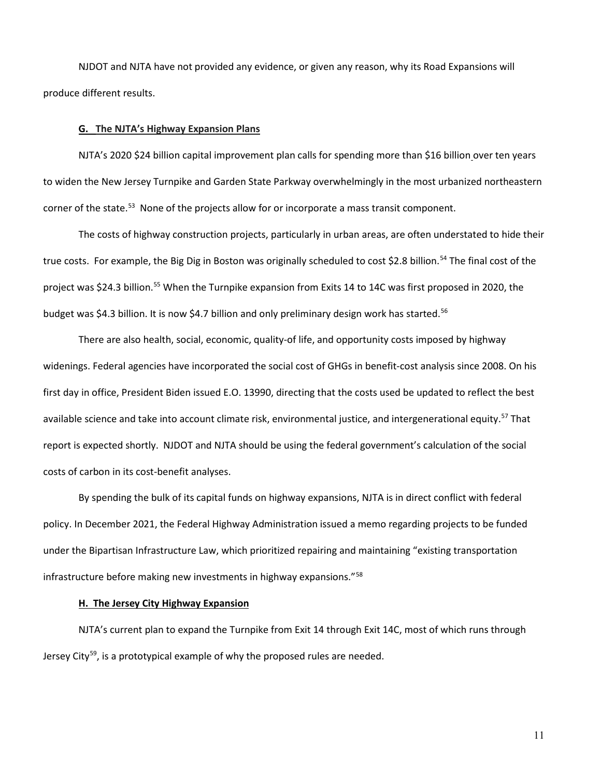NJDOT and NJTA have not provided any evidence, or given any reason, why its Road Expansions will produce different results.

## **G. The NJTA's Highway Expansion Plans**

NJTA's 2020 \$24 billion capital improvement plan calls for spending more than \$16 billion over ten years to widen the New Jersey Turnpike and Garden State Parkway overwhelmingly in the most urbanized northeastern corner of the state.<sup>53</sup> None of the projects allow for or incorporate a mass transit component.

The costs of highway construction projects, particularly in urban areas, are often understated to hide their true costs. For example, the Big Dig in Boston was originally scheduled to cost \$2.8 billion.<sup>[54](#page-22-1)</sup> The final cost of the project was \$24.3 billion.<sup>[55](#page-22-2)</sup> When the Turnpike expansion from Exits 14 to 14C was first proposed in 2020, the budget was \$4.3 billion. It is now \$4.7 billion and only preliminary design work has started.<sup>[56](#page-22-3)</sup>

There are also health, social, economic, quality-of life, and opportunity costs imposed by highway widenings. Federal agencies have incorporated the social cost of GHGs in benefit-cost analysis since 2008. On his first day in office, President Biden issued E.O. 13990, directing that the costs used be updated to reflect the best available science and take into account climate risk, environmental justice, and intergenerational equity.<sup>[57](#page-22-4)</sup> That report is expected shortly. NJDOT and NJTA should be using the federal government's calculation of the social costs of carbon in its cost-benefit analyses.

By spending the bulk of its capital funds on highway expansions, NJTA is in direct conflict with federal policy. In December 2021, the Federal Highway Administration issued a memo regarding projects to be funded under the Bipartisan Infrastructure Law, which prioritized repairing and maintaining "existing transportation infrastructure before making new investments in highway expansions."<sup>[58](#page-22-5)</sup>

#### **H. The Jersey City Highway Expansion**

NJTA's current plan to expand the Turnpike from Exit 14 through Exit 14C, most of which runs through Jersey City $^{59}$ , is a prototypical example of why the proposed rules are needed.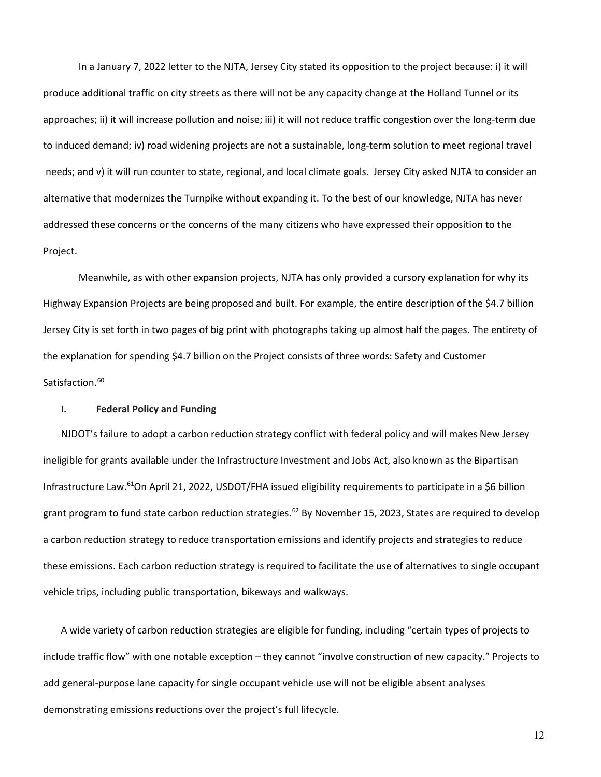In a January 7, 2022 letter to the NJTA, Jersey City stated its opposition to the project because: i) it will produce additional traffic on city streets as there will not be any capacity change at the Holland Tunnel or its approaches; ii) it will increase pollution and noise; iii) it will not reduce traffic congestion over the long-term due to induced demand; iv) road widening projects are not a sustainable, long-term solution to meet regional travel needs; and v) it will run counter to state, regional, and local climate goals. Jersey City asked NJTA to consider an alternative that modernizes the Turnpike without expanding it. To the best of our knowledge, NJTA has never addressed these concerns or the concerns of the many citizens who have expressed their opposition to the Project.

Meanwhile, as with other expansion projects, NJTA has only provided a cursory explanation for why its Highway Expansion Projects are being proposed and built. For example, the entire description of the \$4.7 billion Jersey City is set forth in two pages of big print with photographs taking up almost half the pages. The entirety of the explanation for spending \$4.7 billion on the Project consists of three words: Safety and Customer Satisfaction.<sup>[60](#page-22-7)</sup>

## **I. Federal Policy and Funding**

NJDOT's failure to adopt a carbon reduction strategy conflict with federal policy and will makes New Jersey ineligible for grants available under the Infrastructure Investment and Jobs Act, also known as the Bipartisan Infrastructure Law.[61O](#page-22-8)n April 21, 2022, USDOT/FHA issued eligibility requirements to participate in a \$6 billion grant program to fund state carbon reduction strategies.<sup>[62](#page-22-9)</sup> By November 15, 2023, States are required to develop a carbon reduction strategy to reduce transportation emissions and identify projects and strategies to reduce these emissions. Each carbon reduction strategy is required to facilitate the use of alternatives to single occupant vehicle trips, including public transportation, bikeways and walkways.

A wide variety of carbon reduction strategies are eligible for funding, including "certain types of projects to include traffic flow" with one notable exception – they cannot "involve construction of new capacity." Projects to add general-purpose lane capacity for single occupant vehicle use will not be eligible absent analyses demonstrating emissions reductions over the project's full lifecycle.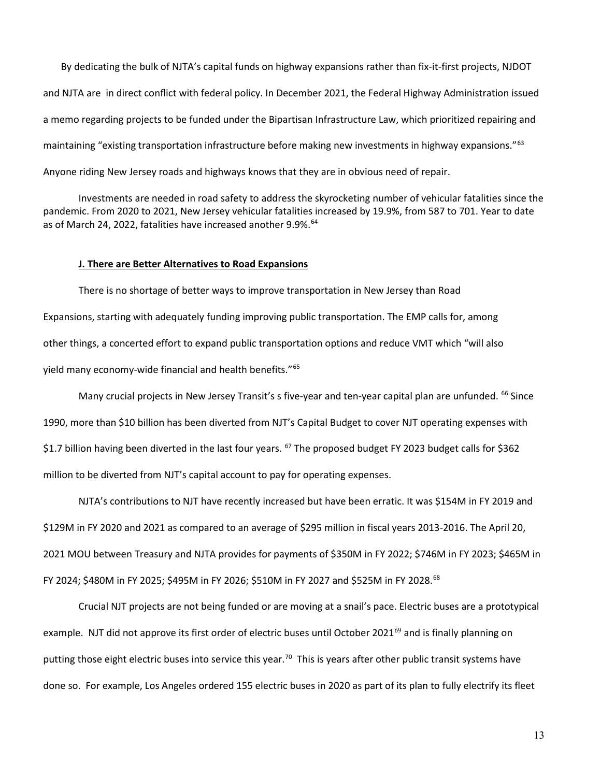By dedicating the bulk of NJTA's capital funds on highway expansions rather than fix-it-first projects, NJDOT and NJTA are in direct conflict with federal policy. In December 2021, the Federal Highway Administration issued a memo regarding projects to be funded under the Bipartisan Infrastructure Law, which prioritized repairing and maintaining "existing transportation infrastructure before making new investments in highway expansions."<sup>[63](#page-22-10)</sup> Anyone riding New Jersey roads and highways knows that they are in obvious need of repair.

Investments are needed in road safety to address the skyrocketing number of vehicular fatalities since the pandemic. From 2020 to 2021, New Jersey vehicular fatalities increased by 19.9%, from 587 to 701. Year to date as of March 24, 2022, fatalities have increased another 9.9%.<sup>64</sup>

#### **J. There are Better Alternatives to Road Expansions**

There is no shortage of better ways to improve transportation in New Jersey than Road Expansions, starting with adequately funding improving public transportation. The EMP calls for, among other things, a concerted effort to expand public transportation options and reduce VMT which "will also yield many economy-wide financial and health benefits."[65](#page-22-12)

Many crucial projects in New Jersey Transit's s five-year and ten-year capital plan are unfunded. <sup>[66](#page-22-13)</sup> Since 1990, more than \$10 billion has been diverted from NJT's Capital Budget to cover NJT operating expenses with \$1.7 billion having been diverted in the last four years. <sup>[67](#page-22-14)</sup> The proposed budget FY 2023 budget calls for \$362 million to be diverted from NJT's capital account to pay for operating expenses.

NJTA's contributions to NJT have recently increased but have been erratic. It was \$154M in FY 2019 and \$129M in FY 2020 and 2021 as compared to an average of \$295 million in fiscal years 2013-2016. The April 20, 2021 MOU between Treasury and NJTA provides for payments of \$350M in FY 2022; \$746M in FY 2023; \$465M in FY 2024; \$480M in FY 2025; \$495M in FY 2026; \$510M in FY 2027 and \$525M in FY 2028.<sup>68</sup>

Crucial NJT projects are not being funded or are moving at a snail's pace. Electric buses are a prototypical example. NJT did not approve its first order of electric buses until October 2021<sup>[69](#page-23-0)</sup> and is finally planning on putting those eight electric buses into service this year.<sup>70</sup> This is years after other public transit systems have done so. For example, Los Angeles ordered 155 electric buses in 2020 as part of its plan to fully electrify its fleet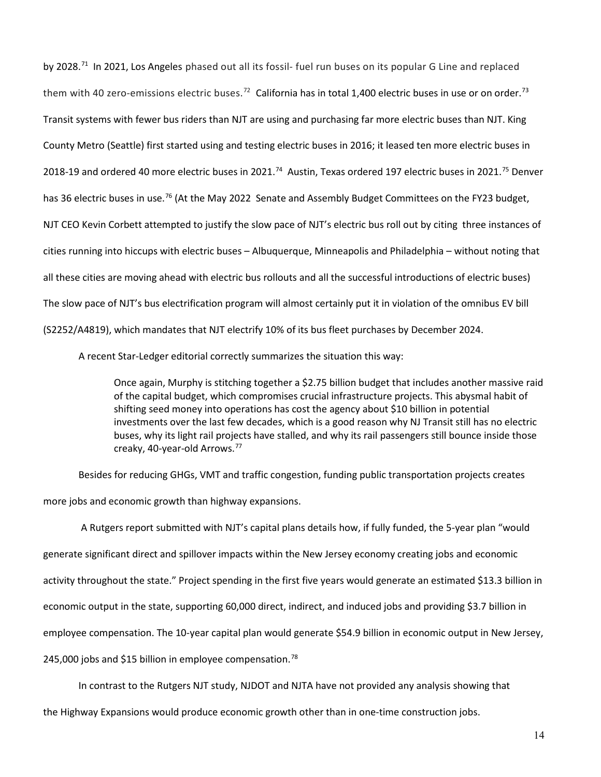by 2028.[71](#page-23-2) In 2021, Los Angeles phased out all its fossil- fuel run buses on its popular G Line and replaced them with 40 zero-emissions electric buses.<sup>[72](#page-23-3)</sup> California has in total 1,400 electric buses in use or on order.<sup>[73](#page-23-4)</sup> Transit systems with fewer bus riders than NJT are using and purchasing far more electric buses than NJT. King County Metro (Seattle) first started using and testing electric buses in 2016; it leased ten more electric buses in 2018-19 and ordered 40 more electric buses in 2021.<sup>[74](#page-23-5)</sup> Austin, Texas ordered 197 electric buses in 2021.<sup>[75](#page-23-6)</sup> Denver has 36 electric buses in use.<sup>76</sup> (At the May 2022 Senate and Assembly Budget Committees on the FY23 budget, NJT CEO Kevin Corbett attempted to justify the slow pace of NJT's electric bus roll out by citing three instances of cities running into hiccups with electric buses – Albuquerque, Minneapolis and Philadelphia – without noting that all these cities are moving ahead with electric bus rollouts and all the successful introductions of electric buses) The slow pace of NJT's bus electrification program will almost certainly put it in violation of the omnibus EV bill (S2252/A4819), which mandates that NJT electrify 10% of its bus fleet purchases by December 2024.

A recent Star-Ledger editorial correctly summarizes the situation this way:

Once again, Murphy is stitching together a \$2.75 billion budget that includes another massive raid of the capital budget, which compromises crucial infrastructure projects. This abysmal habit of shifting seed money into operations has cost the agency about \$10 billion in potential investments over the last few decades, which is a good reason why NJ Transit still has no electric buses, why its light rail projects have stalled, and why its rail passengers still bounce inside those creaky, 40-year-old Arrows.[77](#page-23-8)

Besides for reducing GHGs, VMT and traffic congestion, funding public transportation projects creates more jobs and economic growth than highway expansions.

A Rutgers report submitted with NJT's capital plans details how, if fully funded, the 5-year plan "would generate significant direct and spillover impacts within the New Jersey economy creating jobs and economic activity throughout the state." Project spending in the first five years would generate an estimated \$13.3 billion in economic output in the state, supporting 60,000 direct, indirect, and induced jobs and providing \$3.7 billion in employee compensation. The 10-year capital plan would generate \$54.9 billion in economic output in New Jersey, 245,000 jobs and \$15 billion in employee compensation.<sup>[78](#page-23-9)</sup>

In contrast to the Rutgers NJT study, NJDOT and NJTA have not provided any analysis showing that

the Highway Expansions would produce economic growth other than in one-time construction jobs.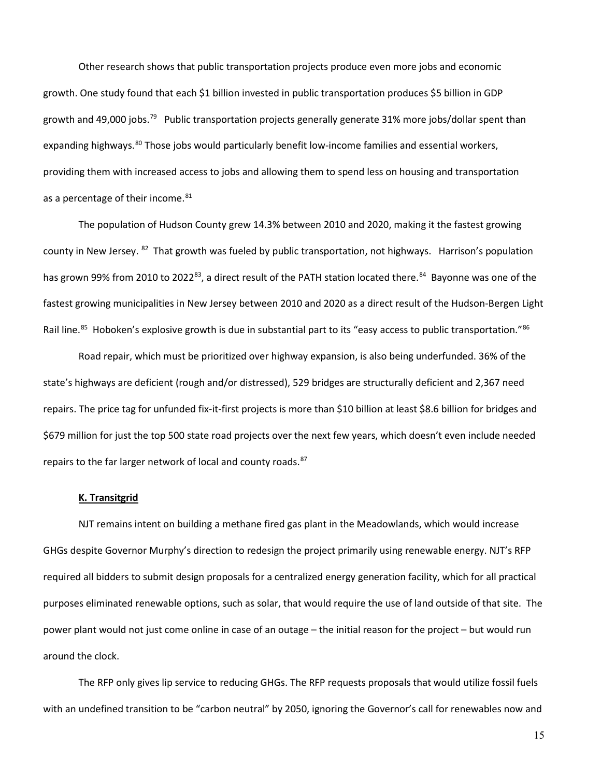Other research shows that public transportation projects produce even more jobs and economic growth. One study found that each \$1 billion invested in public transportation produces \$5 billion in GDP growth and 49,000 jobs.<sup>79</sup> Public transportation projects generally generate 31% more jobs/dollar spent than expanding highways.<sup>[80](#page-23-11)</sup> Those jobs would particularly benefit low-income families and essential workers, providing them with increased access to jobs and allowing them to spend less on housing and transportation as a percentage of their income.<sup>[81](#page-23-12)</sup>

The population of Hudson County grew 14.3% between 2010 and 2020, making it the fastest growing county in New Jersey.  $^{82}$  $^{82}$  $^{82}$  That growth was fueled by public transportation, not highways. Harrison's population has grown 99% from 2010 to 2022<sup>[83](#page-23-14)</sup>, a direct result of the PATH station located there.<sup>[84](#page-23-15)</sup> Bayonne was one of the fastest growing municipalities in New Jersey between 2010 and 2020 as a direct result of the Hudson-Bergen Light Rail line.<sup>[85](#page-23-16)</sup> Hoboken's explosive growth is due in substantial part to its "easy access to public transportation."<sup>[86](#page-23-17)</sup>

Road repair, which must be prioritized over highway expansion, is also being underfunded. 36% of the state's highways are deficient (rough and/or distressed), 529 bridges are structurally deficient and 2,367 need repairs. The price tag for unfunded fix-it-first projects is more than \$10 billion at least \$8.6 billion for bridges and \$679 million for just the top 500 state road projects over the next few years, which doesn't even include needed repairs to the far larger network of local and county roads.<sup>[87](#page-23-18)</sup>

## **K. Transitgrid**

NJT remains intent on building a methane fired gas plant in the Meadowlands, which would increase GHGs despite Governor Murphy's direction to redesign the project primarily using renewable energy. NJT's RFP required all bidders to submit design proposals for a centralized energy generation facility, which for all practical purposes eliminated renewable options, such as solar, that would require the use of land outside of that site. The power plant would not just come online in case of an outage – the initial reason for the project – but would run around the clock.

The RFP only gives lip service to reducing GHGs. The RFP requests proposals that would utilize fossil fuels with an undefined transition to be "carbon neutral" by 2050, ignoring the Governor's call for renewables now and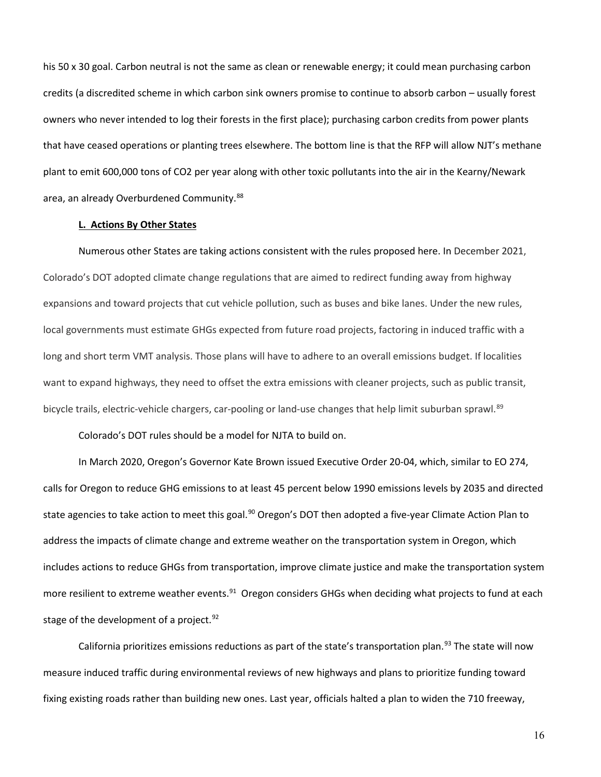his 50 x 30 goal. Carbon neutral is not the same as clean or renewable energy; it could mean purchasing carbon credits (a discredited scheme in which carbon sink owners promise to continue to absorb carbon – usually forest owners who never intended to log their forests in the first place); purchasing carbon credits from power plants that have ceased operations or planting trees elsewhere. The bottom line is that the RFP will allow NJT's methane plant to emit 600,000 tons of CO2 per year along with other toxic pollutants into the air in the Kearny/Newark area, an already Overburdened Community.<sup>[88](#page-23-19)</sup>

#### **L. Actions By Other States**

Numerous other States are taking actions consistent with the rules proposed here. In December 2021, Colorado's DOT adopted climate change regulations that are aimed to redirect funding away from highway expansions and toward projects that cut vehicle pollution, such as buses and bike lanes. Under the new rules, local governments must estimate GHGs expected from future road projects, factoring in induced traffic with a long and short term VMT analysis. Those plans will have to adhere to an overall emissions budget. If localities want to expand highways, they need to offset the extra emissions with cleaner projects, such as public transit, bicycle trails, electric-vehicle chargers, car-pooling or land-use changes that help limit suburban sprawl.<sup>[89](#page-24-0)</sup>

Colorado's DOT rules should be a model for NJTA to build on.

In March 2020, Oregon's Governor Kate Brown issued Executive Order 20-04, which, similar to EO 274, calls for Oregon to reduce GHG emissions to at least 45 percent below 1990 emissions levels by 2035 and directed state agencies to take action to meet this goal.<sup>[90](#page-24-1)</sup> Oregon's DOT then adopted a five-year Climate Action Plan to address the impacts of climate change and extreme weather on the transportation system in Oregon, which includes actions to reduce GHGs from transportation, improve climate justice and make the transportation system more resilient to extreme weather events.<sup>91</sup> Oregon considers GHGs when deciding what projects to fund at each stage of the development of a project.  $92$ 

California prioritizes emissions reductions as part of the state's transportation plan.<sup>[93](#page-24-4)</sup> The state will now measure induced traffic during environmental reviews of new highways and plans to prioritize funding toward fixing existing roads rather than building new ones. Last year, officials halted a plan to widen the 710 freeway,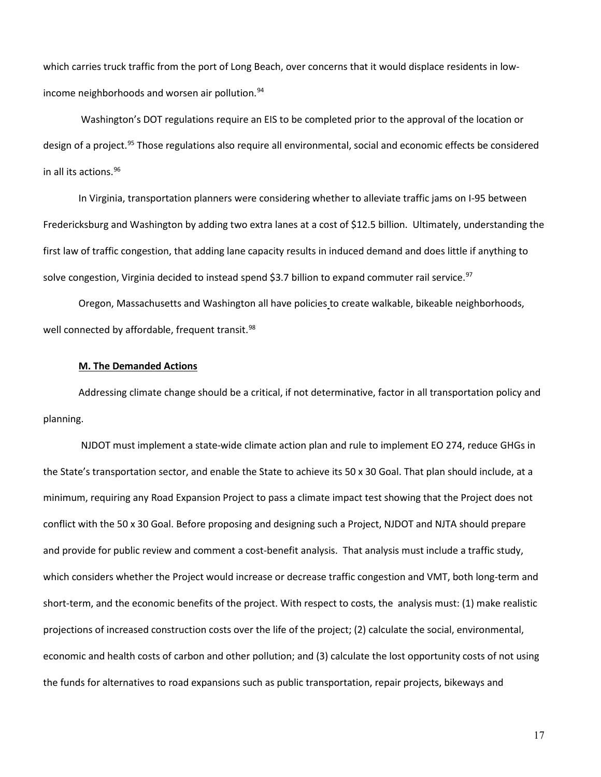which carries truck traffic from the port of Long Beach, over concerns that it would displace residents in low-income neighborhoods and worsen air pollution.<sup>[94](#page-24-5)</sup>

Washington's DOT regulations require an EIS to be completed prior to the approval of the location or design of a project.<sup>[95](#page-24-6)</sup> Those regulations also require all environmental, social and economic effects be considered in all its actions. [96](#page-24-7)

In Virginia, transportation planners were considering whether to alleviate traffic jams on I-95 between Fredericksburg and Washington by adding two extra lanes at a cost of \$12.5 billion. Ultimately, understanding the first law of traffic congestion, that adding lane capacity results in induced demand and does little if anything to solve congestion, Virginia decided to instead spend \$3.7 billion to expand commuter rail service.<sup>[97](#page-24-8)</sup>

Oregon, Massachusetts and Washington all have policies to create walkable, bikeable neighborhoods, well connected by affordable, frequent transit.<sup>98</sup>

#### **M. The Demanded Actions**

Addressing climate change should be a critical, if not determinative, factor in all transportation policy and planning.

NJDOT must implement a state-wide climate action plan and rule to implement EO 274, reduce GHGs in the State's transportation sector, and enable the State to achieve its 50 x 30 Goal. That plan should include, at a minimum, requiring any Road Expansion Project to pass a climate impact test showing that the Project does not conflict with the 50 x 30 Goal. Before proposing and designing such a Project, NJDOT and NJTA should prepare and provide for public review and comment a cost-benefit analysis. That analysis must include a traffic study, which considers whether the Project would increase or decrease traffic congestion and VMT, both long-term and short-term, and the economic benefits of the project. With respect to costs, the analysis must: (1) make realistic projections of increased construction costs over the life of the project; (2) calculate the social, environmental, economic and health costs of carbon and other pollution; and (3) calculate the lost opportunity costs of not using the funds for alternatives to road expansions such as public transportation, repair projects, bikeways and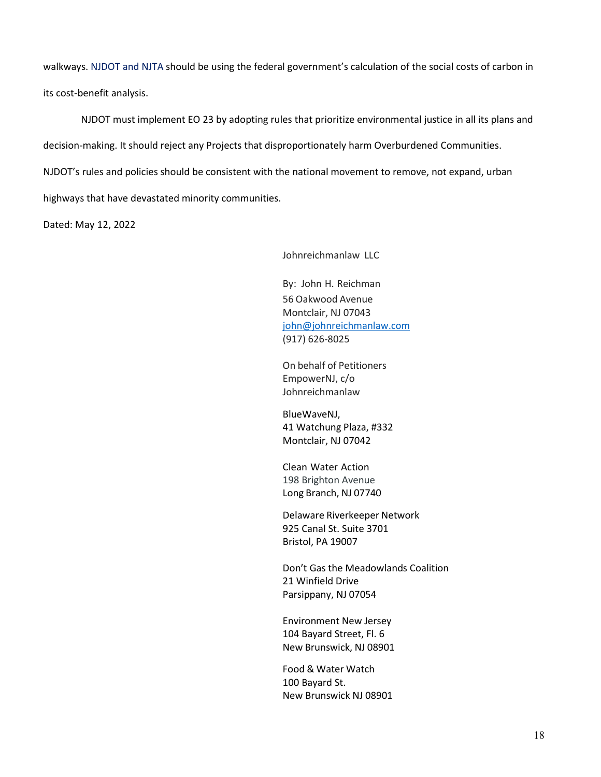walkways. NJDOT and NJTA should be using the federal government's calculation of the social costs of carbon in its cost-benefit analysis.

NJDOT must implement EO 23 by adopting rules that prioritize environmental justice in all its plans and decision-making. It should reject any Projects that disproportionately harm Overburdened Communities. NJDOT's rules and policies should be consistent with the national movement to remove, not expand, urban highways that have devastated minority communities.

Dated: May 12, 2022

Johnreichmanlaw LLC

By: John H. Reichman 56 Oakwood Avenue Montclair, NJ 07043 [john@johnreichmanlaw.com](mailto:john@johnreichmanlaw.com) (917) 626-8025

On behalf of Petitioners EmpowerNJ, c/o Johnreichmanlaw

BlueWaveNJ, 41 Watchung Plaza, #332 Montclair, NJ 07042

Clean Water Action 198 Brighton Avenue Long Branch, NJ 07740

Delaware Riverkeeper Network 925 Canal St. Suite 3701 Bristol, PA 19007

Don't Gas the Meadowlands Coalition 21 Winfield Drive Parsippany, NJ 07054

Environment New Jersey 104 Bayard Street, Fl. 6 New Brunswick, NJ 08901

Food & Water Watch 100 Bayard St. New Brunswick NJ 08901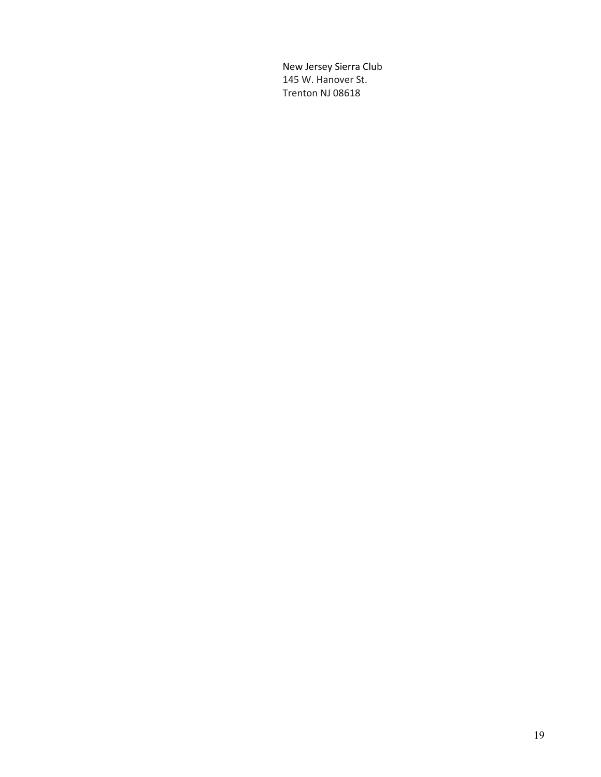<span id="page-18-0"></span>New Jersey Sierra Club 145 W. Hanover St. Trenton NJ 08618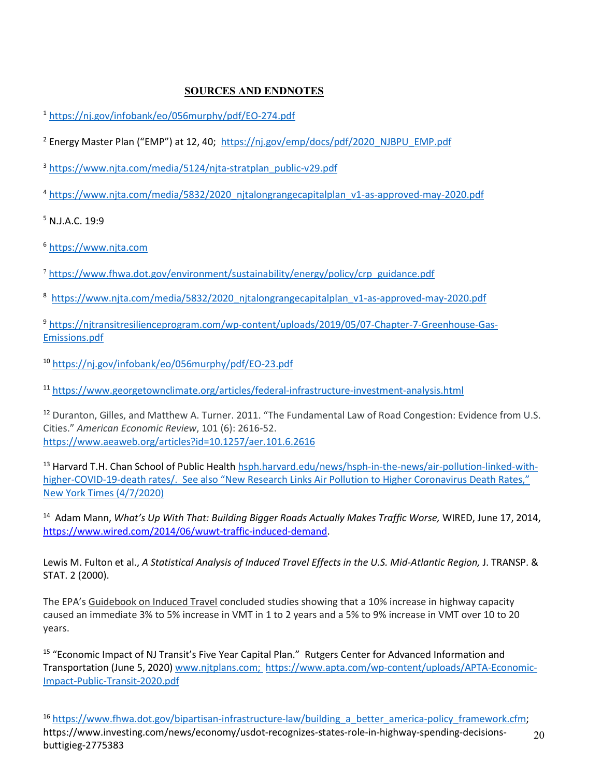# **SOURCES AND ENDNOTES**

- <sup>1</sup> <https://nj.gov/infobank/eo/056murphy/pdf/EO-274.pdf>
- <span id="page-19-0"></span><sup>2</sup> Energy Master Plan ("EMP") at 12, 40; [https://nj.gov/emp/docs/pdf/2020\\_NJBPU\\_EMP.pdf](https://nj.gov/emp/docs/pdf/2020_NJBPU_EMP.pdf)
- <span id="page-19-1"></span><sup>3</sup> [https://www.njta.com/media/5124/njta-stratplan\\_public-v29.pdf](https://www.njta.com/media/5124/njta-stratplan_public-v29.pdf)
- <span id="page-19-2"></span><sup>4</sup> [https://www.njta.com/media/5832/2020\\_njtalongrangecapitalplan\\_v1-as-approved-may-2020.pdf](https://www.njta.com/media/5832/2020_njtalongrangecapitalplan_v1-as-approved-may-2020.pdf)

<span id="page-19-3"></span><sup>5</sup> N.J.A.C. 19:9

<span id="page-19-4"></span><sup>6</sup> [https://www.njta.com](https://www.njta.com/)

- <span id="page-19-5"></span><sup>7</sup> [https://www.fhwa.dot.gov/environment/sustainability/energy/policy/crp\\_guidance.pdf](https://www.fhwa.dot.gov/environment/sustainability/energy/policy/crp_guidance.pdf)
- <span id="page-19-6"></span><sup>8</sup> https://www.nita.com/media/5832/2020\_nitalongrangecapitalplan\_v1-as-approved-may-2020.pdf
- <span id="page-19-7"></span><sup>9</sup> [https://njtransitresilienceprogram.com/wp-content/uploads/2019/05/07-Chapter-7-Greenhouse-Gas-](https://njtransitresilienceprogram.com/wp-content/uploads/2019/05/07-Chapter-7-Greenhouse-Gas-Emissions.pdf)[Emissions.pdf](https://njtransitresilienceprogram.com/wp-content/uploads/2019/05/07-Chapter-7-Greenhouse-Gas-Emissions.pdf)
- <span id="page-19-8"></span><sup>10</sup> <https://nj.gov/infobank/eo/056murphy/pdf/EO-23.pdf>

<span id="page-19-9"></span><sup>11</sup> <https://www.georgetownclimate.org/articles/federal-infrastructure-investment-analysis.html>

<span id="page-19-10"></span><sup>12</sup> Duranton, Gilles, and Matthew A. Turner. 2011. "The Fundamental Law of Road Congestion: Evidence from U.S. Cities." *American Economic Review*, 101 (6): 2616-52. <https://www.aeaweb.org/articles?id=10.1257/aer.101.6.2616>

<span id="page-19-11"></span><sup>13</sup> Harvard T.H. Chan School of Public Healt[h hsph.harvard.edu/](http://www.hsph.harvard.edu/)news/hsph-in-the-news/air-pollution-linked-withhigher-COVID-19-death rates/. See also "New Research Links Air Pollution to Higher Coronavirus Death Rates," New York Times (4/7/2020)

<span id="page-19-12"></span><sup>14</sup> Adam Mann, *What's Up With That: Building Bigger Roads Actually Makes Traffic Worse,* WIRED, June 17, 2014, [https://www.wired.com/2014/06/wuwt-traffic-induced-demand.](https://www.wired.com/2014/06/wuwt-traffic-induced-demand)

Lewis M. Fulton et al., *A Statistical Analysis of Induced Travel Effects in the U.S. Mid-Atlantic Region, J. TRANSP. &* STAT. 2 (2000).

The EPA's Guidebook on Induced Travel concluded studies showing that a 10% increase in highway capacity caused an immediate 3% to 5% increase in VMT in 1 to 2 years and a 5% to 9% increase in VMT over 10 to 20 years.

<span id="page-19-13"></span><sup>15</sup> "Economic Impact of NJ Transit's Five Year Capital Plan." Rutgers Center for Advanced Information and Transportation (June 5, 2020[\) www.njtplans.com;](http://www.njtplans.com/) [https://www.apta.com/wp-content/uploads/APTA-Economic-](https://www.apta.com/wp-content/uploads/APTA-Economic-Impact-Public-Transit-2020.pdf)[Impact-Public-Transit-2020.pdf](https://www.apta.com/wp-content/uploads/APTA-Economic-Impact-Public-Transit-2020.pdf)

<span id="page-19-14"></span><sup>16</sup> [https://www.fhwa.dot.gov/bipartisan-infrastructure-law/building\\_a\\_better\\_america-policy\\_framework.cfm;](https://www.fhwa.dot.gov/bipartisan-infrastructure-law/building_a_better_america-policy_framework.cfm) https://www.investing.com/news/economy/usdot-recognizes-states-role-in-highway-spending-decisionsbuttigieg-2775383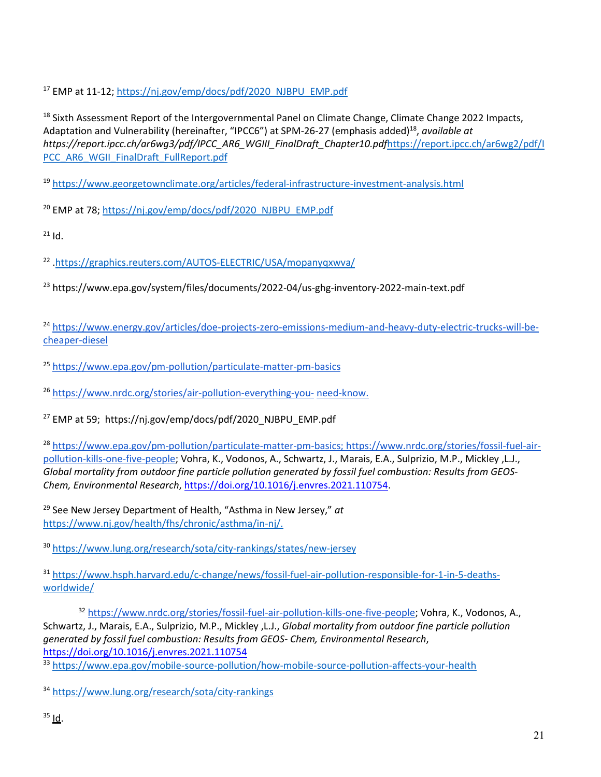<span id="page-20-0"></span><sup>17</sup> EMP at 11-12; [https://nj.gov/emp/docs/pdf/2020\\_NJBPU\\_EMP.pdf](https://nj.gov/emp/docs/pdf/2020_NJBPU_EMP.pdf)

<span id="page-20-1"></span><sup>18</sup> Sixth Assessment Report of the Intergovernmental Panel on Climate Change, Climate Change 2022 Impacts, Adaptation and Vulnerability (hereinafter, "IPCC6") at SPM-26-27 (emphasis added)18, *available at https://report.ipcc.ch/ar6wg3/pdf/IPCC\_AR6\_WGIII\_FinalDraft\_Chapter10.pdf*[https://report.ipcc.ch/ar6wg2/pdf/I](https://report.ipcc.ch/ar6wg2/pdf/IPCC_AR6_WGII_FinalDraft_FullReport.pdf) [PCC\\_AR6\\_WGII\\_FinalDraft\\_FullReport.pdf](https://report.ipcc.ch/ar6wg2/pdf/IPCC_AR6_WGII_FinalDraft_FullReport.pdf)

<span id="page-20-2"></span><sup>19</sup> <https://www.georgetownclimate.org/articles/federal-infrastructure-investment-analysis.html>

<span id="page-20-3"></span><sup>20</sup> EMP at 78[; https://nj.gov/emp/docs/pdf/2020\\_NJBPU\\_EMP.pdf](https://nj.gov/emp/docs/pdf/2020_NJBPU_EMP.pdf)

<span id="page-20-4"></span> $21$  Id.

<span id="page-20-5"></span><sup>22</sup> [.https://graphics.reuters.com/AUTOS-ELECTRIC/USA/mopanyqxwva/](https://graphics.reuters.com/AUTOS-ELECTRIC/USA/mopanyqxwva/)

<span id="page-20-6"></span><sup>23</sup> https://www.epa.gov/system/files/documents/2022-04/us-ghg-inventory-2022-main-text.pdf

<span id="page-20-7"></span><sup>24</sup> [https://www.energy.gov/articles/doe-projects-zero-emissions-medium-and-heavy-duty-electric-trucks-will-be](https://www.energy.gov/articles/doe-projects-zero-emissions-medium-and-heavy-duty-electric-trucks-will-be-cheaper-diesel)[cheaper-diesel](https://www.energy.gov/articles/doe-projects-zero-emissions-medium-and-heavy-duty-electric-trucks-will-be-cheaper-diesel)

<span id="page-20-8"></span><sup>25</sup> <https://www.epa.gov/pm-pollution/particulate-matter-pm-basics>

<span id="page-20-9"></span><sup>26</sup> [https://www.nrdc.org/stories/air-pollution-everything-you-](https://www.nrdc.org/stories/air-pollution-everything-you-need-know) [need-know.](https://www.nrdc.org/stories/air-pollution-everything-you-need-know)

<span id="page-20-10"></span><sup>27</sup> EMP at 59; https://nj.gov/emp/docs/pdf/2020\_NJBPU\_EMP.pdf

<span id="page-20-11"></span><sup>28</sup> [https://www.epa.gov/pm-pollution/particulate-matter-pm-basics;](https://www.epa.gov/pm-pollution/particulate-matter-pm-basics) [https://www.nrdc.org/stories/fossil-fuel-air](https://www.nrdc.org/stories/fossil-fuel-air-pollution-kills-one-five-people)[pollution-kills-one-five-people;](https://www.nrdc.org/stories/fossil-fuel-air-pollution-kills-one-five-people) Vohra, K., Vodonos, A., Schwartz, J., Marais, E.A., Sulprizio, M.P., Mickley ,L.J., *Global mortality from outdoor fine particle pollution generated by fossil fuel combustion: Results from GEOS-Chem, Environmental Research*[, https://doi.org/10.1016/j.envres.2021.110754.](https://doi.org/10.1016/j.envres.2021.110754)

<span id="page-20-12"></span><sup>29</sup> See New Jersey Department of Health, "Asthma in New Jersey," *at*  [https://www.nj.gov/health/fhs/chronic/asthma/in-nj/.](https://www.nj.gov/health/fhs/chronic/asthma/in-nj/)

<span id="page-20-13"></span><sup>30</sup> <https://www.lung.org/research/sota/city-rankings/states/new-jersey>

<span id="page-20-14"></span><sup>31</sup> [https://www.hsph.harvard.edu/c-change/news/fossil-fuel-air-pollution-responsible-for-1-in-5-deaths](https://www.hsph.harvard.edu/c-change/news/fossil-fuel-air-pollution-responsible-for-1-in-5-deaths-worldwide/)[worldwide/](https://www.hsph.harvard.edu/c-change/news/fossil-fuel-air-pollution-responsible-for-1-in-5-deaths-worldwide/)

<span id="page-20-15"></span><sup>32</sup> [https://www.nrdc.org/stories/fossil-fuel-air-pollution-kills-one-five-people;](https://www.nrdc.org/stories/fossil-fuel-air-pollution-kills-one-five-people) Vohra, K., Vodonos, A., Schwartz, J., Marais, E.A., Sulprizio, M.P., Mickley ,L.J., *Global mortality from outdoor fine particle pollution generated by fossil fuel combustion: Results from GEOS- Chem, Environmental Research*, <https://doi.org/10.1016/j.envres.2021.110754>

<span id="page-20-16"></span>33 <https://www.epa.gov/mobile-source-pollution/how-mobile-source-pollution-affects-your-health>

<span id="page-20-18"></span><span id="page-20-17"></span><sup>34</sup> <https://www.lung.org/research/sota/city-rankings>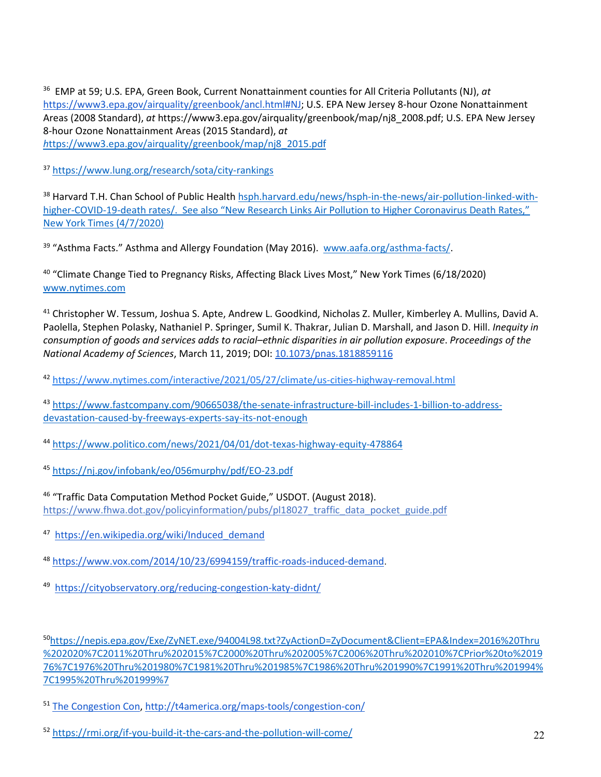<span id="page-21-0"></span><sup>36</sup> EMP at 59; U.S. EPA, Green Book, Current Nonattainment counties for All Criteria Pollutants (NJ), *at* [https://www3.epa.gov/airquality/greenbook/ancl.html#NJ;](https://www3.epa.gov/airquality/greenbook/ancl.html#NJ) U.S. EPA New Jersey 8-hour Ozone Nonattainment Areas (2008 Standard), *at* https://www3.epa.gov/airquality/greenbook/map/nj8\_2008.pdf; U.S. EPA New Jersey 8-hour Ozone Nonattainment Areas (2015 Standard), *at [h](https://www3.epa.gov/airquality/greenbook/map/nj8_2015.pdf)*[ttps://www3.epa.gov/airquality/greenbook/map/nj8\\_2015.pdf](https://www3.epa.gov/airquality/greenbook/map/nj8_2015.pdf)

<span id="page-21-1"></span><sup>37</sup> <https://www.lung.org/research/sota/city-rankings>

<span id="page-21-2"></span><sup>38</sup> Harvard T.H. Chan School of Public Healt[h hsph.harvard.edu/](http://www.hsph.harvard.edu/)news/hsph-in-the-news/air-pollution-linked-withhigher-COVID-19-death rates/. See also "New Research Links Air Pollution to Higher Coronavirus Death Rates," New York Times (4/7/2020)

<span id="page-21-3"></span><sup>39</sup> "Asthma Facts." Asthma and Allergy Foundation (May 2016). www.aafa.org/asthma-facts/

<span id="page-21-4"></span><sup>40</sup> "Climate Change Tied to Pregnancy Risks, Affecting Black Lives Most," New York Times (6/18/2020) [www.nytimes.com](http://www.nytimes.com/)

<span id="page-21-5"></span><sup>41</sup> Christopher W. Tessum, Joshua S. Apte, Andrew L. Goodkind, Nicholas Z. Muller, Kimberley A. Mullins, David A. Paolella, Stephen Polasky, Nathaniel P. Springer, Sumil K. Thakrar, Julian D. Marshall, and Jason D. Hill. *Inequity in consumption of goods and services adds to racial–ethnic disparities in air pollution exposure*. *Proceedings of the National Academy of Sciences*, March 11, 2019; DOI: [10.1073/pnas.1818859116](http://dx.doi.org/10.1073/pnas.1818859116)

<span id="page-21-6"></span><sup>42</sup> <https://www.nytimes.com/interactive/2021/05/27/climate/us-cities-highway-removal.html>

<span id="page-21-7"></span><sup>43</sup> [https://www.fastcompany.com/90665038/the-senate-infrastructure-bill-includes-1-billion-to-address](https://www.fastcompany.com/90665038/the-senate-infrastructure-bill-includes-1-billion-to-address-devastation-caused-by-freeways-experts-say-its-not-enough)[devastation-caused-by-freeways-experts-say-its-not-enough](https://www.fastcompany.com/90665038/the-senate-infrastructure-bill-includes-1-billion-to-address-devastation-caused-by-freeways-experts-say-its-not-enough)

<span id="page-21-8"></span><sup>44</sup> <https://www.politico.com/news/2021/04/01/dot-texas-highway-equity-478864>

<span id="page-21-9"></span><sup>45</sup> <https://nj.gov/infobank/eo/056murphy/pdf/EO-23.pdf>

<span id="page-21-10"></span><sup>46</sup> "Traffic Data Computation Method Pocket Guide," USDOT. (August 2018). https://www.fhwa.dot.gov/policyinformation/pubs/pl18027\_traffic\_data\_pocket\_guide.pdf

<span id="page-21-11"></span><sup>47</sup> [https://en.wikipedia.org/wiki/Induced\\_demand](https://en.wikipedia.org/wiki/Induced_demand)

<span id="page-21-12"></span><sup>48</sup> [https://www.vox.com/2014/10/23/6994159/traffic-roads-induced-demand.](https://www.vox.com/2014/10/23/6994159/traffic-roads-induced-demand)

<span id="page-21-13"></span><sup>49</sup> <https://cityobservatory.org/reducing-congestion-katy-didnt/>

<span id="page-21-14"></span>5[0https://nepis.epa.gov/Exe/ZyNET.exe/94004L98.txt?ZyActionD=ZyDocument&Client=EPA&Index=2016%20Thru](https://nepis.epa.gov/Exe/ZyNET.exe/94004L98.txt?ZyActionD=ZyDocument&Client=EPA&Index=2016%20Thru%202020%7C2011%20Thru%202015%7C2000%20Thru%202005%7C2006%20Thru%202010%7CPrior%20to%201976%7C1976%20Thru%201980%7C1981%20Thru%201985%7C1986%20Thru%201990%7C1991%20Thru%201994%7C1995%20Thru%201999%257) [%202020%7C2011%20Thru%202015%7C2000%20Thru%202005%7C2006%20Thru%202010%7CPrior%20to%2019](https://nepis.epa.gov/Exe/ZyNET.exe/94004L98.txt?ZyActionD=ZyDocument&Client=EPA&Index=2016%20Thru%202020%7C2011%20Thru%202015%7C2000%20Thru%202005%7C2006%20Thru%202010%7CPrior%20to%201976%7C1976%20Thru%201980%7C1981%20Thru%201985%7C1986%20Thru%201990%7C1991%20Thru%201994%7C1995%20Thru%201999%257) [76%7C1976%20Thru%201980%7C1981%20Thru%201985%7C1986%20Thru%201990%7C1991%20Thru%201994%](https://nepis.epa.gov/Exe/ZyNET.exe/94004L98.txt?ZyActionD=ZyDocument&Client=EPA&Index=2016%20Thru%202020%7C2011%20Thru%202015%7C2000%20Thru%202005%7C2006%20Thru%202010%7CPrior%20to%201976%7C1976%20Thru%201980%7C1981%20Thru%201985%7C1986%20Thru%201990%7C1991%20Thru%201994%7C1995%20Thru%201999%257) [7C1995%20Thru%201999%7](https://nepis.epa.gov/Exe/ZyNET.exe/94004L98.txt?ZyActionD=ZyDocument&Client=EPA&Index=2016%20Thru%202020%7C2011%20Thru%202015%7C2000%20Thru%202005%7C2006%20Thru%202010%7CPrior%20to%201976%7C1976%20Thru%201980%7C1981%20Thru%201985%7C1986%20Thru%201990%7C1991%20Thru%201994%7C1995%20Thru%201999%257)

<span id="page-21-15"></span><sup>51</sup> [The Congestion Con, http://t4america.org/maps-tools/congestion-con/](http://t4america.org/maps-tools/congestion-con/)

<span id="page-21-16"></span><sup>52</sup> <https://rmi.org/if-you-build-it-the-cars-and-the-pollution-will-come/>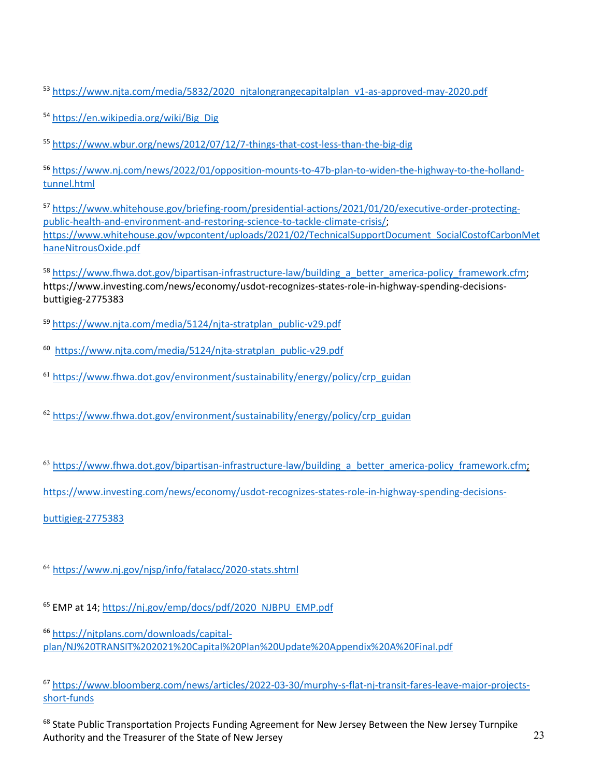<span id="page-22-0"></span>53 [https://www.njta.com/media/5832/2020\\_njtalongrangecapitalplan\\_v1-as-approved-may-2020.pdf](https://www.njta.com/media/5832/2020_njtalongrangecapitalplan_v1-as-approved-may-2020.pdf)

<span id="page-22-1"></span><sup>54</sup> [https://en.wikipedia.org/wiki/Big\\_Dig](https://en.wikipedia.org/wiki/Big_Dig)

<span id="page-22-2"></span><sup>55</sup> <https://www.wbur.org/news/2012/07/12/7-things-that-cost-less-than-the-big-dig>

<span id="page-22-3"></span><sup>56</sup> [https://www.nj.com/news/2022/01/opposition-mounts-to-47b-plan-to-widen-the-highway-to-the-holland](https://www.nj.com/news/2022/01/opposition-mounts-to-47b-plan-to-widen-the-highway-to-the-holland-tunnel.html)[tunnel.html](https://www.nj.com/news/2022/01/opposition-mounts-to-47b-plan-to-widen-the-highway-to-the-holland-tunnel.html)

<span id="page-22-4"></span><sup>57</sup> [https://www.whitehouse.gov/briefing-room/presidential-actions/2021/01/20/executive-order-protecting](https://www.whitehouse.gov/briefing-room/presidential-actions/2021/01/20/executive-order-protecting-public-health-and-environment-and-restoring-science-to-tackle-climate-crisis/)[public-health-and-environment-and-restoring-science-to-tackle-climate-crisis/;](https://www.whitehouse.gov/briefing-room/presidential-actions/2021/01/20/executive-order-protecting-public-health-and-environment-and-restoring-science-to-tackle-climate-crisis/) [https://www.whitehouse.gov/wpcontent/uploads/2021/02/TechnicalSupportDocument\\_SocialCostofCarbonMet](https://www.whitehouse.gov/wpcontent/uploads/2021/02/TechnicalSupportDocument_SocialCostofCarbonMethaneNitrousOxide.pdf) [haneNitrousOxide.pdf](https://www.whitehouse.gov/wpcontent/uploads/2021/02/TechnicalSupportDocument_SocialCostofCarbonMethaneNitrousOxide.pdf)

<span id="page-22-5"></span><sup>58</sup> [https://www.fhwa.dot.gov/bipartisan-infrastructure-law/building\\_a\\_better\\_america-policy\\_framework.cfm;](https://www.fhwa.dot.gov/bipartisan-infrastructure-law/building_a_better_america-policy_framework.cfm) https://www.investing.com/news/economy/usdot-recognizes-states-role-in-highway-spending-decisionsbuttigieg-2775383

<span id="page-22-6"></span><sup>59</sup> [https://www.njta.com/media/5124/njta-stratplan\\_public-v29.pdf](https://www.njta.com/media/5124/njta-stratplan_public-v29.pdf)

<span id="page-22-7"></span><sup>60</sup> [https://www.njta.com/media/5124/njta-stratplan\\_public-v29.pdf](https://www.njta.com/media/5124/njta-stratplan_public-v29.pdf)

<span id="page-22-8"></span><sup>61</sup> [https://www.fhwa.dot.gov/environment/sustainability/energy/policy/crp\\_guidan](https://www.fhwa.dot.gov/environment/sustainability/energy/policy/crp_guidan)

<span id="page-22-9"></span><sup>62</sup> [https://www.fhwa.dot.gov/environment/sustainability/energy/policy/crp\\_guidan](https://www.fhwa.dot.gov/environment/sustainability/energy/policy/crp_guidan)

<span id="page-22-10"></span><sup>63</sup> [https://www.fhwa.dot.gov/bipartisan-infrastructure-law/building\\_a\\_better\\_america-policy\\_framework.cfm;](https://www.fhwa.dot.gov/bipartisan-infrastructure-law/building_a_better_america-policy_framework.cfm)

[https://www.investing.com/news/economy/usdot-recognizes-states-role-in-highway-spending-decisions-](https://www.investing.com/news/economy/usdot-recognizes-states-role-in-highway-spending-decisions-buttigieg-2775383)

[buttigieg-2775383](https://www.investing.com/news/economy/usdot-recognizes-states-role-in-highway-spending-decisions-buttigieg-2775383)

<span id="page-22-11"></span><sup>64</sup> <https://www.nj.gov/njsp/info/fatalacc/2020-stats.shtml>

<span id="page-22-12"></span><sup>65</sup> EMP at 14[; https://nj.gov/emp/docs/pdf/2020\\_NJBPU\\_EMP.pdf](https://nj.gov/emp/docs/pdf/2020_NJBPU_EMP.pdf)

<span id="page-22-13"></span><sup>66</sup> [https://njtplans.com/downloads/capital](https://njtplans.com/downloads/capital-plan/NJ%20TRANSIT%202021%20Capital%20Plan%20Update%20Appendix%20A%20Final.pdf)[plan/NJ%20TRANSIT%202021%20Capital%20Plan%20Update%20Appendix%20A%20Final.pdf](https://njtplans.com/downloads/capital-plan/NJ%20TRANSIT%202021%20Capital%20Plan%20Update%20Appendix%20A%20Final.pdf)

<span id="page-22-14"></span><sup>67</sup> [https://www.bloomberg.com/news/articles/2022-03-30/murphy-s-flat-nj-transit-fares-leave-major-projects](https://www.bloomberg.com/news/articles/2022-03-30/murphy-s-flat-nj-transit-fares-leave-major-projects-short-funds)[short-funds](https://www.bloomberg.com/news/articles/2022-03-30/murphy-s-flat-nj-transit-fares-leave-major-projects-short-funds)

<span id="page-22-15"></span><sup>68</sup> State Public Transportation Projects Funding Agreement for New Jersey Between the New Jersey Turnpike Authority and the Treasurer of the State of New Jersey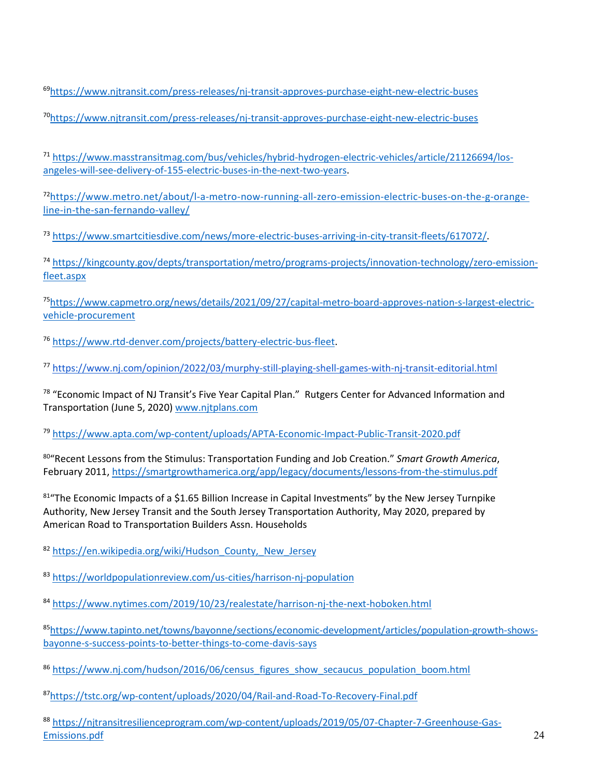<span id="page-23-0"></span>69https://www.njtransit.com/press-releases/nj-transit-approves-purchase-eight-new-electric-buses

<span id="page-23-1"></span>70https://www.njtransit.com/press-releases/nj-transit-approves-purchase-eight-new-electric-buses

<span id="page-23-2"></span><sup>71</sup> https://www.masstransitmag.com/bus/vehicles/hybrid-hydrogen-electric-vehicles/article/21126694/losangeles-will-see-delivery-of-155-electric-buses-in-the-next-two-years.

<span id="page-23-3"></span>72https://www.metro.net/about/l-a-metro-now-running-all-zero-emission-electric-buses-on-the-g-orangeline-in-the-san-fernando-valley/

<span id="page-23-4"></span><sup>73</sup> https://www.smartcitiesdive.com/news/more-electric-buses-arriving-in-city-transit-fleets/617072/.

<span id="page-23-5"></span><sup>74</sup> https://kingcounty.gov/depts/transportation/metro/programs-projects/innovation-technology/zero-emissionfleet.aspx

<span id="page-23-6"></span>75https://www.capmetro.org/news/details/2021/09/27/capital-metro-board-approves-nation-s-largest-electricvehicle-procurement

<span id="page-23-7"></span><sup>76</sup> https://www.rtd-denver.com/projects/battery-electric-bus-fleet.

<span id="page-23-8"></span><sup>77</sup> https://www.nj.com/opinion/2022/03/murphy-still-playing-shell-games-with-nj-transit-editorial.html

<span id="page-23-9"></span><sup>78</sup> "Economic Impact of NJ Transit's Five Year Capital Plan." Rutgers Center for Advanced Information and Transportation (June 5, 2020) www.njtplans.com

<span id="page-23-10"></span><sup>79</sup> https://www.apta.com/wp-content/uploads/APTA-Economic-Impact-Public-Transit-2020.pdf

<span id="page-23-11"></span>80"Recent Lessons from the Stimulus: Transportation Funding and Job Creation." *Smart Growth America*, February 2011, https://smartgrowthamerica.org/app/legacy/documents/lessons-from-the-stimulus.pdf

<span id="page-23-12"></span>81"The Economic Impacts of a \$1.65 Billion Increase in Capital Investments" by the New Jersey Turnpike Authority, New Jersey Transit and the South Jersey Transportation Authority, May 2020, prepared by American Road to Transportation Builders Assn. Households

<span id="page-23-13"></span>82 https://en.wikipedia.org/wiki/Hudson\_County, New Jersey

<span id="page-23-14"></span><sup>83</sup> https://worldpopulationreview.com/us-cities/harrison-nj-population

<span id="page-23-15"></span>84 https://www.nytimes.com/2019/10/23/realestate/harrison-nj-the-next-hoboken.html

<span id="page-23-16"></span>85https://www.tapinto.net/towns/bayonne/sections/economic-development/articles/population-growth-showsbayonne-s-success-points-to-better-things-to-come-davis-says

<span id="page-23-17"></span>86 https://www.nj.com/hudson/2016/06/census\_figures\_show\_secaucus\_population\_boom.html

<span id="page-23-18"></span>87https://tstc.org/wp-content/uploads/2020/04/Rail-and-Road-To-Recovery-Final.pdf

<span id="page-23-19"></span><sup>88</sup> https://njtransitresilienceprogram.com/wp-content/uploads/2019/05/07-Chapter-7-Greenhouse-Gas-Emissions.pdf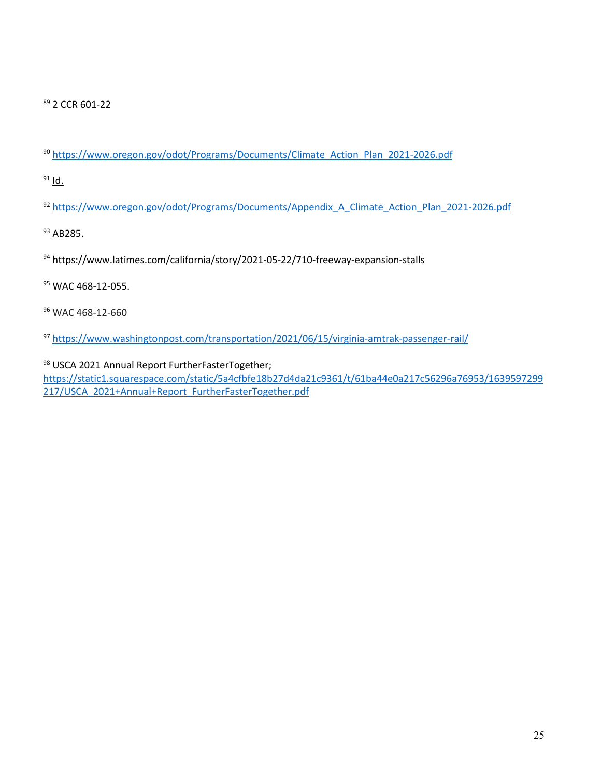<span id="page-24-0"></span>2 CCR 601-22

<span id="page-24-1"></span>https://www.oregon.gov/odot/Programs/Documents/Climate\_Action\_Plan\_2021-2026.pdf

<span id="page-24-2"></span>Id.

<span id="page-24-3"></span>https://www.oregon.gov/odot/Programs/Documents/Appendix\_A\_Climate\_Action\_Plan\_2021-2026.pdf

<span id="page-24-4"></span><sup>93</sup> AB285.

<span id="page-24-5"></span>https://www.latimes.com/california/story/2021-05-22/710-freeway-expansion-stalls

<span id="page-24-6"></span><sup>95</sup> WAC 468-12-055.

<span id="page-24-7"></span>WAC 468-12-660

<span id="page-24-8"></span>https://www.washingtonpost.com/transportation/2021/06/15/virginia-amtrak-passenger-rail/

<span id="page-24-9"></span>98 USCA 2021 Annual Report FurtherFasterTogether;

https://static1.squarespace.com/static/5a4cfbfe18b27d4da21c9361/t/61ba44e0a217c56296a76953/1639597299 217/USCA\_2021+Annual+Report\_FurtherFasterTogether.pdf